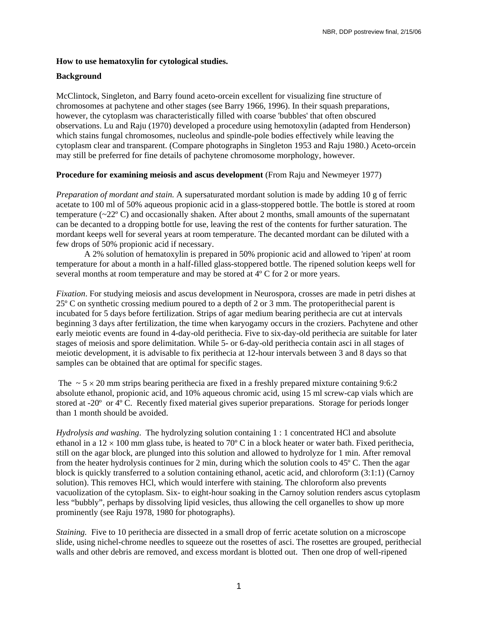## **How to use hematoxylin for cytological studies.**

## **Background**

McClintock, Singleton, and Barry found aceto-orcein excellent for visualizing fine structure of chromosomes at pachytene and other stages (see Barry 1966, 1996). In their squash preparations, however, the cytoplasm was characteristically filled with coarse 'bubbles' that often obscured observations. Lu and Raju (1970) developed a procedure using hemotoxylin (adapted from Henderson) which stains fungal chromosomes, nucleolus and spindle-pole bodies effectively while leaving the cytoplasm clear and transparent. (Compare photographs in Singleton 1953 and Raju 1980.) Aceto-orcein may still be preferred for fine details of pachytene chromosome morphology, however.

## **Procedure for examining meiosis and ascus development** (From Raju and Newmeyer 1977)

*Preparation of mordant and stain.* A supersaturated mordant solution is made by adding 10 g of ferric acetate to 100 ml of 50% aqueous propionic acid in a glass-stoppered bottle. The bottle is stored at room temperature  $(\sim 22^{\circ}$  C) and occasionally shaken. After about 2 months, small amounts of the supernatant can be decanted to a dropping bottle for use, leaving the rest of the contents for further saturation. The mordant keeps well for several years at room temperature. The decanted mordant can be diluted with a few drops of 50% propionic acid if necessary.

A 2% solution of hematoxylin is prepared in 50% propionic acid and allowed to 'ripen' at room temperature for about a month in a half-filled glass-stoppered bottle. The ripened solution keeps well for several months at room temperature and may be stored at 4º C for 2 or more years.

*Fixation*. For studying meiosis and ascus development in Neurospora, crosses are made in petri dishes at 25º C on synthetic crossing medium poured to a depth of 2 or 3 mm. The protoperithecial parent is incubated for 5 days before fertilization. Strips of agar medium bearing perithecia are cut at intervals beginning 3 days after fertilization, the time when karyogamy occurs in the croziers. Pachytene and other early meiotic events are found in 4-day-old perithecia. Five to six-day-old perithecia are suitable for later stages of meiosis and spore delimitation. While 5- or 6-day-old perithecia contain asci in all stages of meiotic development, it is advisable to fix perithecia at 12-hour intervals between 3 and 8 days so that samples can be obtained that are optimal for specific stages.

The  $\sim$  5  $\times$  20 mm strips bearing perithecia are fixed in a freshly prepared mixture containing 9:6:2 absolute ethanol, propionic acid, and 10% aqueous chromic acid, using 15 ml screw-cap vials which are stored at -20º or 4º C. Recently fixed material gives superior preparations. Storage for periods longer than 1 month should be avoided.

*Hydrolysis and washing*. The hydrolyzing solution containing 1 : 1 concentrated HCl and absolute ethanol in a  $12 \times 100$  mm glass tube, is heated to 70 $\degree$  C in a block heater or water bath. Fixed perithecia, still on the agar block, are plunged into this solution and allowed to hydrolyze for 1 min. After removal from the heater hydrolysis continues for 2 min, during which the solution cools to 45º C. Then the agar block is quickly transferred to a solution containing ethanol, acetic acid, and chloroform (3:1:1) (Carnoy solution). This removes HCl, which would interfere with staining. The chloroform also prevents vacuolization of the cytoplasm. Six- to eight-hour soaking in the Carnoy solution renders ascus cytoplasm less "bubbly", perhaps by dissolving lipid vesicles, thus allowing the cell organelles to show up more prominently (see Raju 1978, 1980 for photographs).

*Staining.* Five to 10 perithecia are dissected in a small drop of ferric acetate solution on a microscope slide, using nichel-chrome needles to squeeze out the rosettes of asci. The rosettes are grouped, perithecial walls and other debris are removed, and excess mordant is blotted out. Then one drop of well-ripened